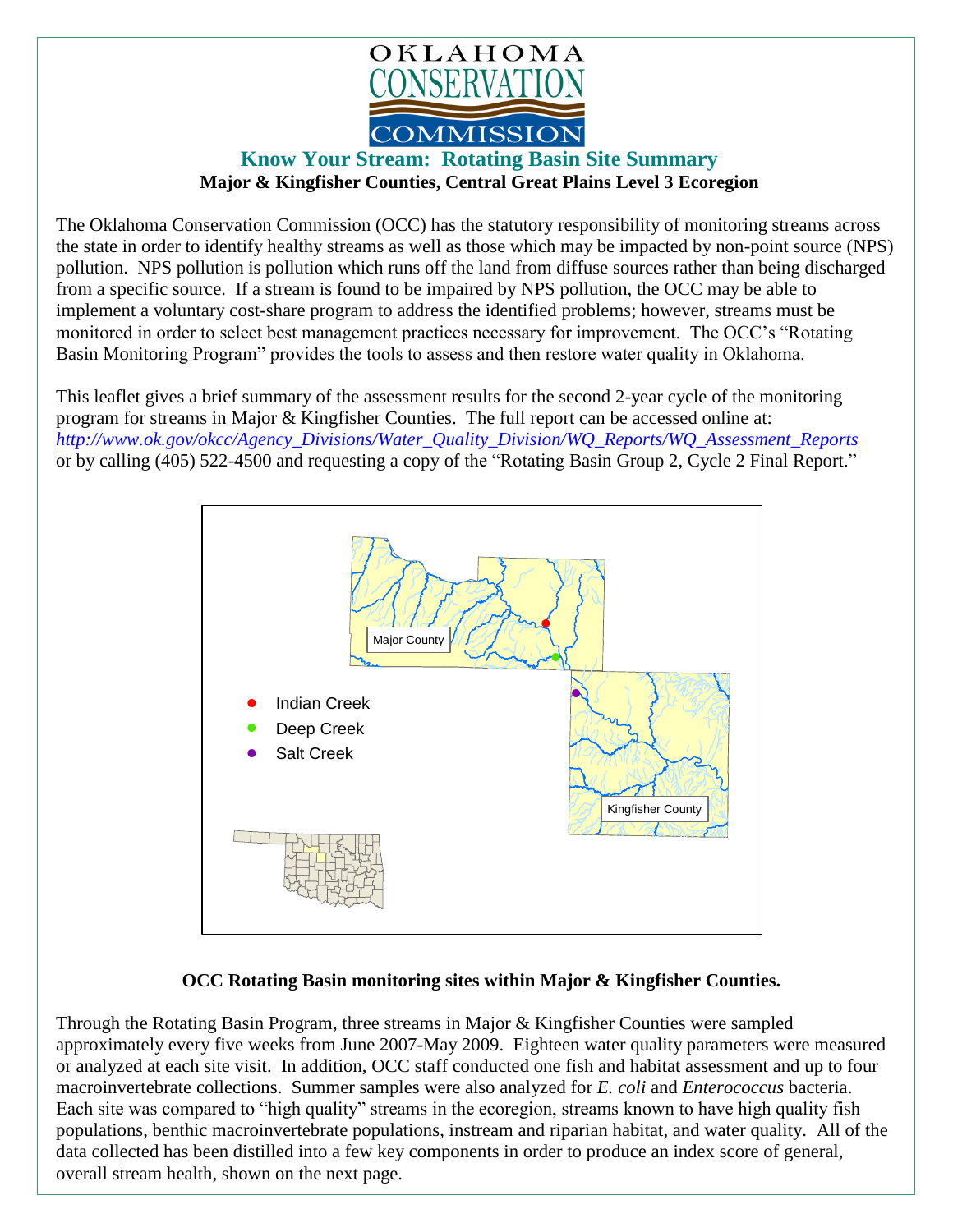

## **Know Your Stream: Rotating Basin Site Summary Major & Kingfisher Counties, Central Great Plains Level 3 Ecoregion**

The Oklahoma Conservation Commission (OCC) has the statutory responsibility of monitoring streams across the state in order to identify healthy streams as well as those which may be impacted by non-point source (NPS) pollution. NPS pollution is pollution which runs off the land from diffuse sources rather than being discharged from a specific source. If a stream is found to be impaired by NPS pollution, the OCC may be able to implement a voluntary cost-share program to address the identified problems; however, streams must be monitored in order to select best management practices necessary for improvement. The OCC's "Rotating Basin Monitoring Program" provides the tools to assess and then restore water quality in Oklahoma.

This leaflet gives a brief summary of the assessment results for the second 2-year cycle of the monitoring program for streams in Major & Kingfisher Counties. The full report can be accessed online at: *[http://www.ok.gov/okcc/Agency\\_Divisions/Water\\_Quality\\_Division/WQ\\_Reports/WQ\\_Assessment\\_Reports](http://www.ok.gov/okcc/Agency_Divisions/Water_Quality_Division/WQ_Reports/WQ_Assessment_Reports)* or by calling (405) 522-4500 and requesting a copy of the "Rotating Basin Group 2, Cycle 2 Final Report."



## **OCC Rotating Basin monitoring sites within Major & Kingfisher Counties.**

Through the Rotating Basin Program, three streams in Major & Kingfisher Counties were sampled approximately every five weeks from June 2007-May 2009. Eighteen water quality parameters were measured or analyzed at each site visit. In addition, OCC staff conducted one fish and habitat assessment and up to four macroinvertebrate collections. Summer samples were also analyzed for *E. coli* and *Enterococcus* bacteria. Each site was compared to "high quality" streams in the ecoregion, streams known to have high quality fish populations, benthic macroinvertebrate populations, instream and riparian habitat, and water quality. All of the data collected has been distilled into a few key components in order to produce an index score of general, overall stream health, shown on the next page.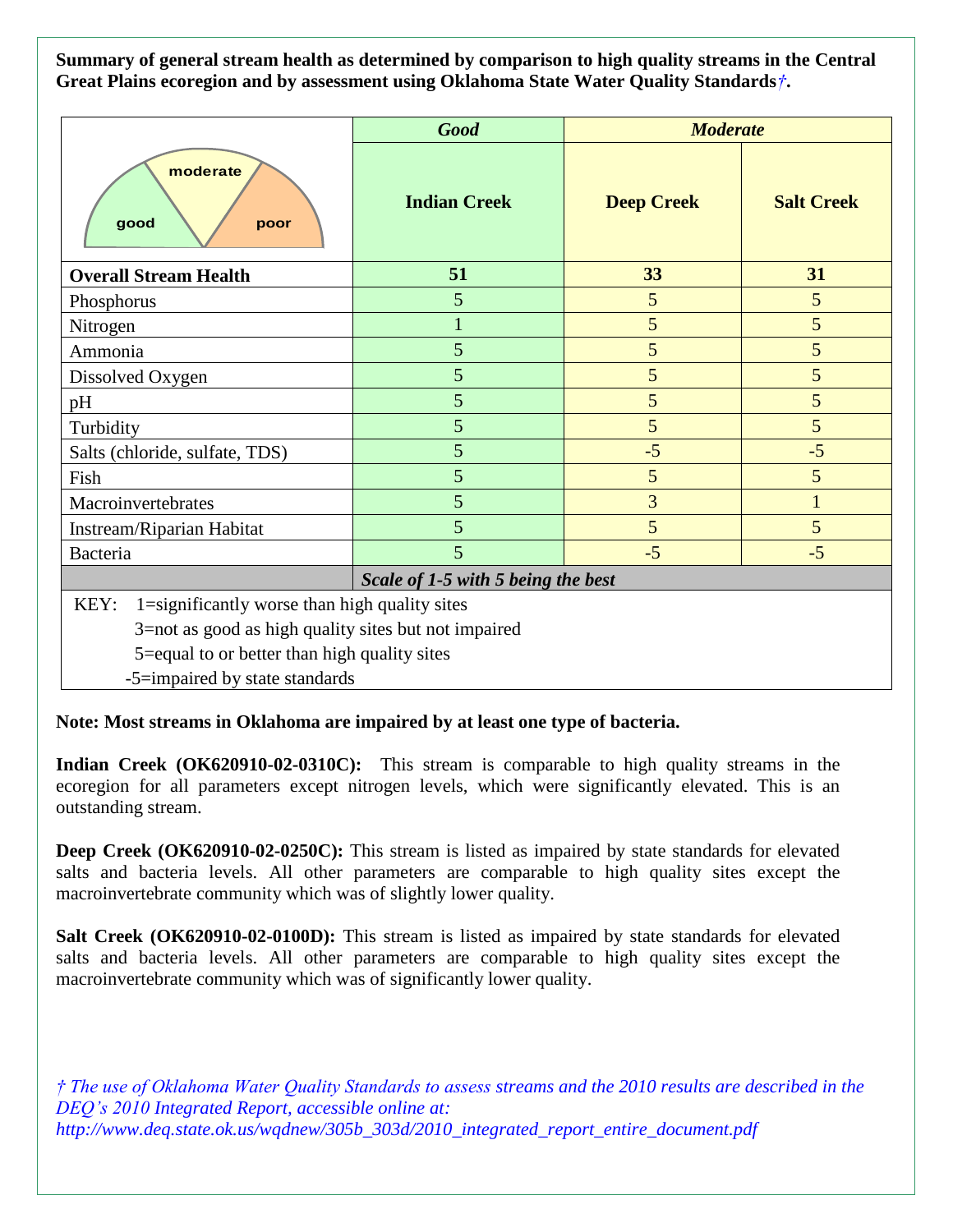**Summary of general stream health as determined by comparison to high quality streams in the Central Great Plains ecoregion and by assessment using Oklahoma State Water Quality Standards***†***.**

|                                                       | <b>Good</b>         | <b>Moderate</b>   |                   |
|-------------------------------------------------------|---------------------|-------------------|-------------------|
| moderate<br>good<br>poor                              | <b>Indian Creek</b> | <b>Deep Creek</b> | <b>Salt Creek</b> |
| <b>Overall Stream Health</b>                          | 51                  | 33                | 31                |
| Phosphorus                                            | 5                   | 5                 | 5                 |
| Nitrogen                                              |                     | 5                 | 5                 |
| Ammonia                                               | 5                   | 5                 | 5                 |
| Dissolved Oxygen                                      | 5                   | 5                 | 5                 |
| pH                                                    | 5                   | 5                 | 5                 |
| Turbidity                                             | 5                   | 5                 | 5                 |
| Salts (chloride, sulfate, TDS)                        | 5                   | $-5$              | $-5$              |
| Fish                                                  | 5                   | 5                 | 5                 |
| Macroinvertebrates                                    | 5                   | 3                 | $\mathbf{1}$      |
| Instream/Riparian Habitat                             | 5                   | 5                 | 5                 |
| Bacteria                                              | 5                   | $-5$              | $-5$              |
| Scale of 1-5 with 5 being the best                    |                     |                   |                   |
| 1=significantly worse than high quality sites<br>KEY: |                     |                   |                   |
| 3=not as good as high quality sites but not impaired  |                     |                   |                   |
| 5=equal to or better than high quality sites          |                     |                   |                   |
| -5=impaired by state standards                        |                     |                   |                   |

**Note: Most streams in Oklahoma are impaired by at least one type of bacteria.**

**Indian Creek (OK620910-02-0310C):** This stream is comparable to high quality streams in the ecoregion for all parameters except nitrogen levels, which were significantly elevated. This is an outstanding stream.

**Deep Creek (OK620910-02-0250C):** This stream is listed as impaired by state standards for elevated salts and bacteria levels. All other parameters are comparable to high quality sites except the macroinvertebrate community which was of slightly lower quality.

**Salt Creek (OK620910-02-0100D):** This stream is listed as impaired by state standards for elevated salts and bacteria levels. All other parameters are comparable to high quality sites except the macroinvertebrate community which was of significantly lower quality.

*† The use of Oklahoma Water Quality Standards to assess streams and the 2010 results are described in the DEQ's 2010 Integrated Report, accessible online at: http://www.deq.state.ok.us/wqdnew/305b\_303d/2010\_integrated\_report\_entire\_document.pdf*